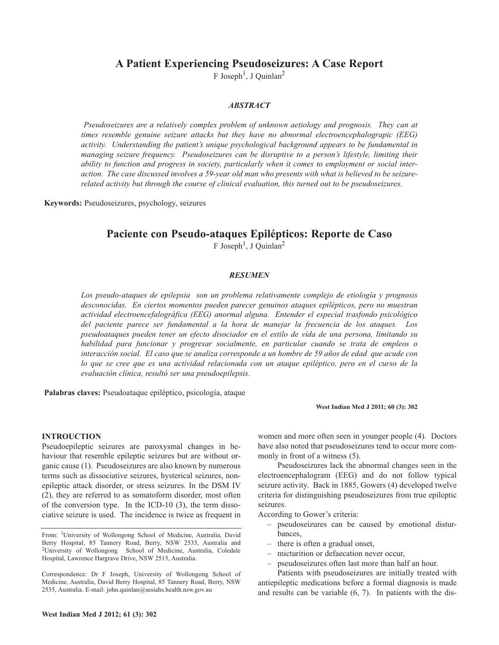## **A Patient Experiencing Pseudoseizures: A Case Report**

F Joseph<sup>1</sup>, J Quinlan<sup>2</sup>

## *ABSTRACT*

*Pseudoseizures are a relatively complex problem of unknown aetiology and prognosis. They can at times resemble genuine seizure attacks but they have no abnormal electroencephalograpic (EEG) activity. Understanding the patient's unique psychological background appears to be fundamental in managing seizure frequency. Pseudoseizures can be disruptive to a person's lifestyle, limiting their ability to function and progress in society, particularly when it comes to employment or social inter*action. The case discussed involves a 59-year old man who presents with what is believed to be seizure*related activity but through the course of clinical evaluation, this turned out to be pseudoseizures.*

**Keywords:** Pseudoseizures, psychology, seizures

# **Paciente con Pseudo-ataques Epilépticos: Reporte de Caso**

F Joseph<sup>1</sup>, J Quinlan<sup>2</sup>

### *RESUMEN*

*Los pseudo-ataques de epilepsia son un problema relativamente complejo de etiología y prognosis desconocidas. En ciertos momentos pueden parecer genuinos ataques epilépticos, pero no muestran actividad electroencefalográfica (EEG) anormal alguna. Entender el especial trasfondo psicológico del paciente parece ser fundamental a la hora de manejar la frecuencia de los ataques. Los pseudoataques pueden tener un efecto disociador en el estilo de vida de una persona, limitando su habilidad para funcionar y progresar socialmente, en particular cuando se trata de empleos o* interacción social. El caso que se analiza corresponde a un hombre de 59 años de edad que acude con lo que se cree que es una actividad relacionada con un ataque epiléptico, pero en el curso de la *evaluación clínica, resultó ser una pseudoepilepsis.*

**Palabras claves:** Pseudoataque epiléptico, psicología, ataque

## **West Indian Med J 2011; 60 (3): 302**

#### **INTROUCTION**

Pseudoepileptic seizures are paroxysmal changes in behaviour that resemble epileptic seizures but are without organic cause (1). Pseudoseizures are also known by numerous terms such as dissociative seizures, hysterical seizures, nonepileptic attack disorder, or stress seizures. In the DSM IV (2), they are referred to as somatoform disorder, most often of the conversion type. In the ICD-10 (3), the term dissociative seizure is used. The incidence is twice as frequent in

From: 1University of Wollongong School of Medicine, Australia, David Berry Hospital, 85 Tannery Road, Berry, NSW 2535, Australia and <sup>2</sup>University of Wollongong School of Medicine, Australia, Coledale Hospital, Lawrence Hargrave Drive, NSW 2515, Australia.

Correspondence: Dr F Joseph, University of Wollongong School of Medicine, Australia, David Berry Hospital, 85 Tannery Road, Berry, NSW 2535, Australia. E-mail: john.quinlan@sesiahs.health.nsw.gov.au

women and more often seen in younger people (4). Doctors have also noted that pseudoseizures tend to occur more commonly in front of a witness (5).

Pseudoseizures lack the abnormal changes seen in the electroencephalogram (EEG) and do not follow typical seizure activity. Back in 1885, Gowers (4) developed twelve criteria for distinguishing pseudoseizures from true epileptic seizures.

According to Gower's criteria:

- pseudoseizures can be caused by emotional disturbances,
- there is often a gradual onset,
- micturition or defaecation never occur,
	- pseudoseizures often last more than half an hour.

Patients with pseudoseizures are initially treated with antiepileptic medications before a formal diagnosis is made and results can be variable (6, 7). In patients with the dis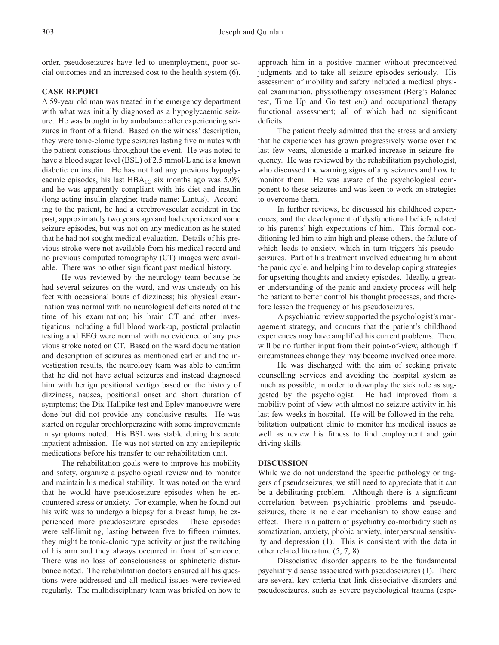order, pseudoseizures have led to unemployment, poor social outcomes and an increased cost to the health system (6).

## **CASE REPORT**

A 59-year old man was treated in the emergency department with what was initially diagnosed as a hypoglycaemic seizure. He was brought in by ambulance after experiencing seizures in front of a friend. Based on the witness' description, they were tonic-clonic type seizures lasting five minutes with the patient conscious throughout the event. He was noted to have a blood sugar level (BSL) of 2.5 mmol/L and is a known diabetic on insulin. He has not had any previous hypoglycaemic episodes, his last  $HBA_{1C}$  six months ago was 5.0% and he was apparently compliant with his diet and insulin (long acting insulin glargine; trade name: Lantus). According to the patient, he had a cerebrovascular accident in the past, approximately two years ago and had experienced some seizure episodes, but was not on any medication as he stated that he had not sought medical evaluation. Details of his previous stroke were not available from his medical record and no previous computed tomography (CT) images were available. There was no other significant past medical history.

He was reviewed by the neurology team because he had several seizures on the ward, and was unsteady on his feet with occasional bouts of dizziness; his physical examination was normal with no neurological deficits noted at the time of his examination; his brain CT and other investigations including a full blood work-up, postictal prolactin testing and EEG were normal with no evidence of any previous stroke noted on CT. Based on the ward documentation and description of seizures as mentioned earlier and the investigation results, the neurology team was able to confirm that he did not have actual seizures and instead diagnosed him with benign positional vertigo based on the history of dizziness, nausea, positional onset and short duration of symptoms; the Dix-Hallpike test and Epley manoeuvre were done but did not provide any conclusive results. He was started on regular prochlorperazine with some improvements in symptoms noted. His BSL was stable during his acute inpatient admission. He was not started on any antiepileptic medications before his transfer to our rehabilitation unit.

The rehabilitation goals were to improve his mobility and safety, organize a psychological review and to monitor and maintain his medical stability. It was noted on the ward that he would have pseudoseizure episodes when he encountered stress or anxiety. For example, when he found out his wife was to undergo a biopsy for a breast lump, he experienced more pseudoseizure episodes. These episodes were self-limiting, lasting between five to fifteen minutes, they might be tonic-clonic type activity or just the twitching of his arm and they always occurred in front of someone. There was no loss of consciousness or sphincteric disturbance noted. The rehabilitation doctors ensured all his questions were addressed and all medical issues were reviewed regularly. The multidisciplinary team was briefed on how to approach him in a positive manner without preconceived judgments and to take all seizure episodes seriously. His assessment of mobility and safety included a medical physical examination, physiotherapy assessment (Berg's Balance test, Time Up and Go test *etc*) and occupational therapy functional assessment; all of which had no significant deficits.

The patient freely admitted that the stress and anxiety that he experiences has grown progressively worse over the last few years, alongside a marked increase in seizure frequency. He was reviewed by the rehabilitation psychologist, who discussed the warning signs of any seizures and how to monitor them. He was aware of the psychological component to these seizures and was keen to work on strategies to overcome them.

In further reviews, he discussed his childhood experiences, and the development of dysfunctional beliefs related to his parents' high expectations of him. This formal conditioning led him to aim high and please others, the failure of which leads to anxiety, which in turn triggers his pseudoseizures. Part of his treatment involved educating him about the panic cycle, and helping him to develop coping strategies for upsetting thoughts and anxiety episodes. Ideally, a greater understanding of the panic and anxiety process will help the patient to better control his thought processes, and therefore lessen the frequency of his pseudoseizures.

A psychiatric review supported the psychologist's management strategy, and concurs that the patient's childhood experiences may have amplified his current problems. There will be no further input from their point-of-view, although if circumstances change they may become involved once more.

He was discharged with the aim of seeking private counselling services and avoiding the hospital system as much as possible, in order to downplay the sick role as suggested by the psychologist. He had improved from a mobility point-of-view with almost no seizure activity in his last few weeks in hospital. He will be followed in the rehabilitation outpatient clinic to monitor his medical issues as well as review his fitness to find employment and gain driving skills.

### **DISCUSSION**

While we do not understand the specific pathology or triggers of pseudoseizures, we still need to appreciate that it can be a debilitating problem. Although there is a significant correlation between psychiatric problems and pseudoseizures, there is no clear mechanism to show cause and effect. There is a pattern of psychiatry co-morbidity such as somatization, anxiety, phobic anxiety, interpersonal sensitivity and depression (1). This is consistent with the data in other related literature (5, 7, 8).

Dissociative disorder appears to be the fundamental psychiatry disease associated with pseudoseizures (1). There are several key criteria that link dissociative disorders and pseudoseizures, such as severe psychological trauma (espe